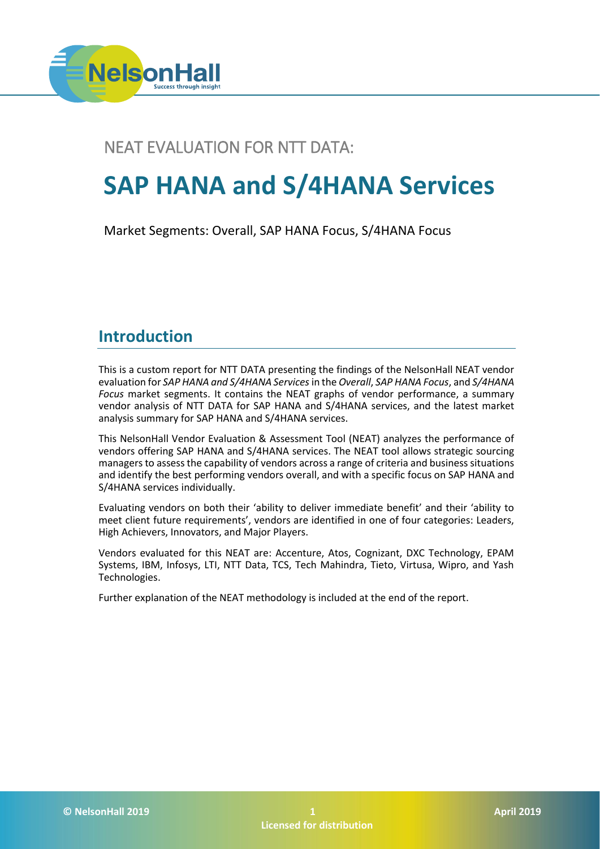

### NEAT EVALUATION FOR NTT DATA:

# **SAP HANA and S/4HANA Services**

Market Segments: Overall, SAP HANA Focus, S/4HANA Focus

### **Introduction**

This is a custom report for NTT DATA presenting the findings of the NelsonHall NEAT vendor evaluation for *SAP HANA and S/4HANA Services*in the *Overall*, *SAP HANA Focus*, and *S/4HANA Focus* market segments. It contains the NEAT graphs of vendor performance, a summary vendor analysis of NTT DATA for SAP HANA and S/4HANA services, and the latest market analysis summary for SAP HANA and S/4HANA services.

This NelsonHall Vendor Evaluation & Assessment Tool (NEAT) analyzes the performance of vendors offering SAP HANA and S/4HANA services. The NEAT tool allows strategic sourcing managers to assess the capability of vendors across a range of criteria and business situations and identify the best performing vendors overall, and with a specific focus on SAP HANA and S/4HANA services individually.

Evaluating vendors on both their 'ability to deliver immediate benefit' and their 'ability to meet client future requirements', vendors are identified in one of four categories: Leaders, High Achievers, Innovators, and Major Players.

Vendors evaluated for this NEAT are: Accenture, Atos, Cognizant, DXC Technology, EPAM Systems, IBM, Infosys, LTI, NTT Data, TCS, Tech Mahindra, Tieto, Virtusa, Wipro, and Yash Technologies.

Further explanation of the NEAT methodology is included at the end of the report.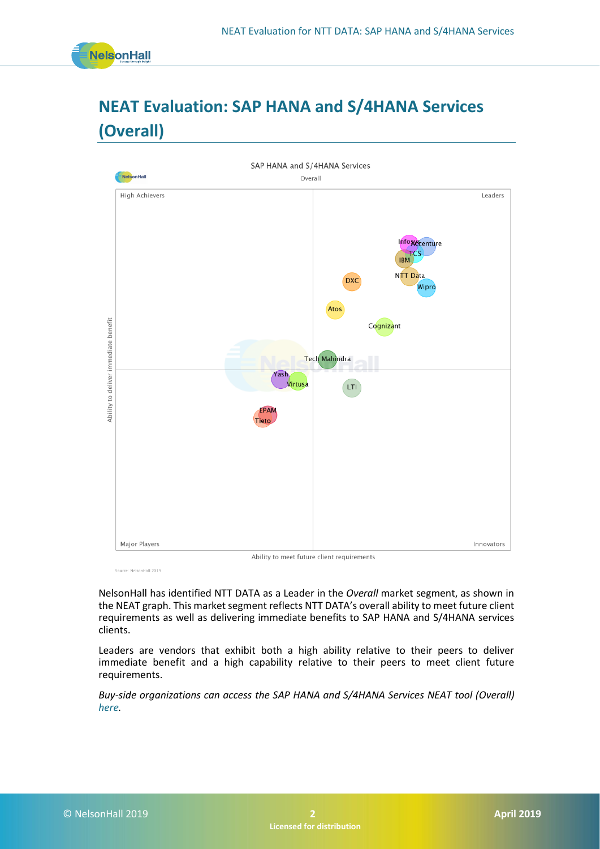

# **NEAT Evaluation: SAP HANA and S/4HANA Services (Overall)**



Source: NelsonHall 2019

NelsonHall has identified NTT DATA as a Leader in the *Overall* market segment, as shown in the NEAT graph. This market segment reflects NTT DATA's overall ability to meet future client requirements as well as delivering immediate benefits to SAP HANA and S/4HANA services clients.

Leaders are vendors that exhibit both a high ability relative to their peers to deliver immediate benefit and a high capability relative to their peers to meet client future requirements.

*Buy-side organizations can access the SAP HANA and S/4HANA Services NEAT tool (Overall) [here.](https://research.nelson-hall.com/sourcing-expertise/neat-reports/?avpage-views=neat&avpage-views=neat&NEATaction=viewProject&project=177&weightingGroup=709#neatProjectPage)*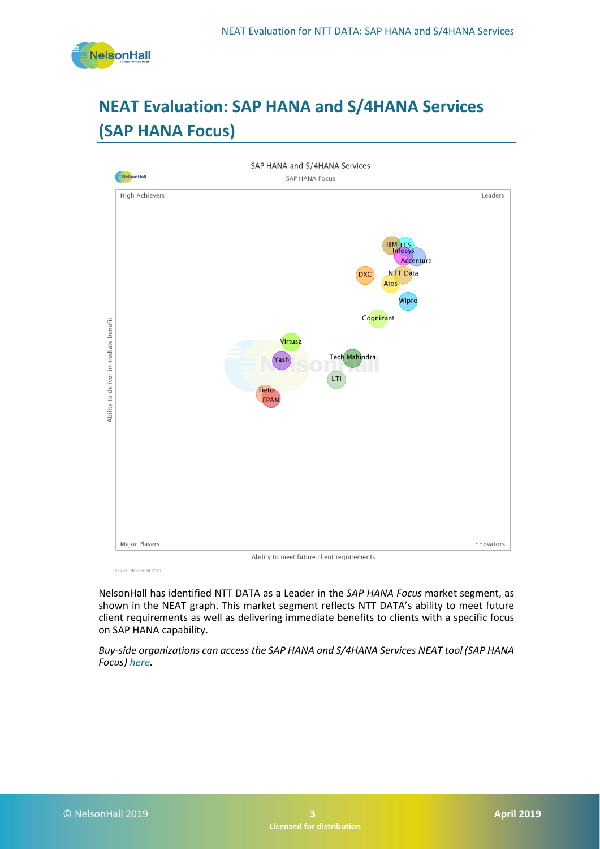

# **NEAT Evaluation: SAP HANA and S/4HANA Services (SAP HANA Focus)**



Source: NelsonHall 2019

NelsonHall has identified NTT DATA as a Leader in the *SAP HANA Focus* market segment, as shown in the NEAT graph. This market segment reflects NTT DATA's ability to meet future client requirements as well as delivering immediate benefits to clients with a specific focus on SAP HANA capability.

*Buy-side organizations can access the SAP HANA and S/4HANA Services NEAT tool (SAP HANA Focus) [here.](https://research.nelson-hall.com/sourcing-expertise/neat-reports/?avpage-views=neat&avpage-views=neat&NEATaction=viewProject&project=177&weightingGroup=710#neatProjectPage)*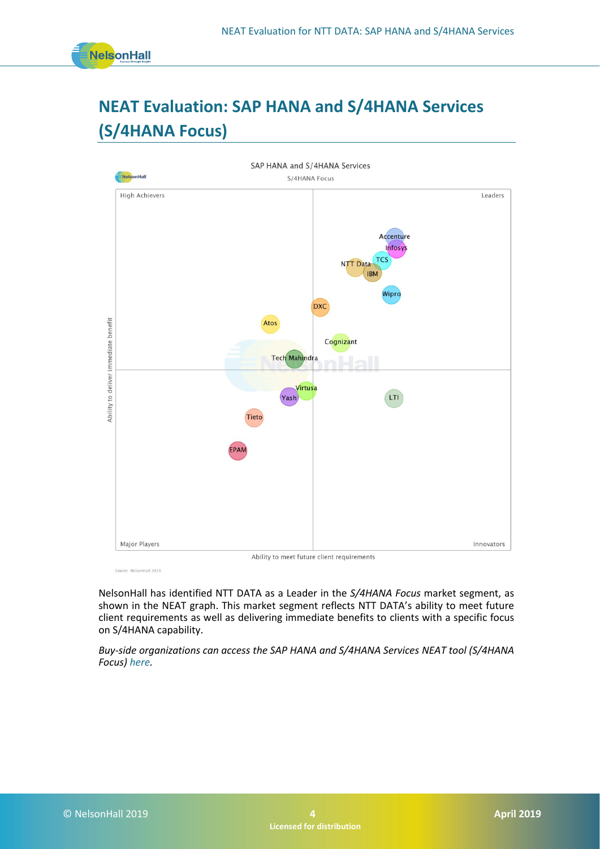

## **NEAT Evaluation: SAP HANA and S/4HANA Services (S/4HANA Focus)**



Source: NelsonHall 2019

NelsonHall has identified NTT DATA as a Leader in the *S/4HANA Focus* market segment, as shown in the NEAT graph. This market segment reflects NTT DATA's ability to meet future client requirements as well as delivering immediate benefits to clients with a specific focus on S/4HANA capability.

*Buy-side organizations can access the SAP HANA and S/4HANA Services NEAT tool (S/4HANA Focus) [here.](https://research.nelson-hall.com/sourcing-expertise/neat-reports/?avpage-views=neat&avpage-views=neat&NEATaction=viewProject&project=177&weightingGroup=711#neatProjectPage)*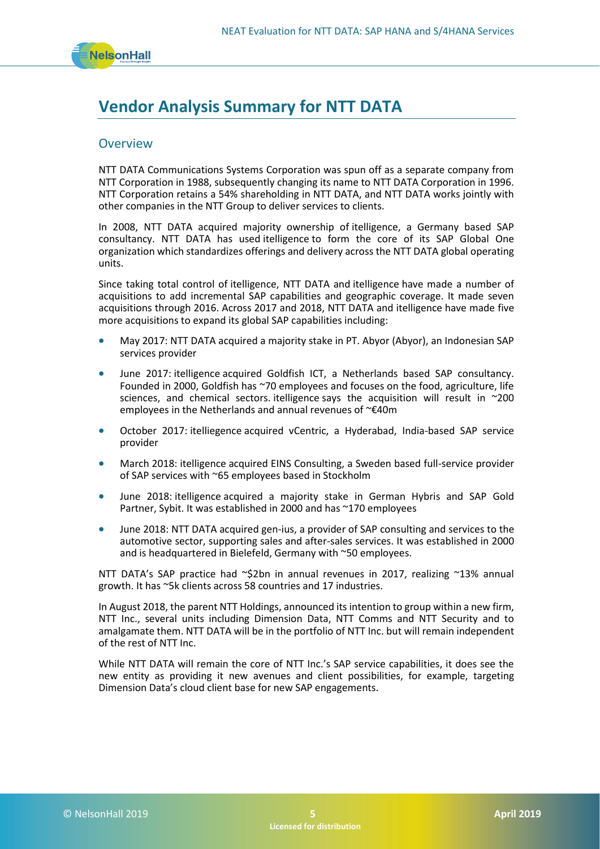

### **Vendor Analysis Summary for NTT DATA**

#### **Overview**

NTT DATA Communications Systems Corporation was spun off as a separate company from NTT Corporation in 1988, subsequently changing its name to NTT DATA Corporation in 1996. NTT Corporation retains a 54% shareholding in NTT DATA, and NTT DATA works jointly with other companies in the NTT Group to deliver services to clients.

In 2008, NTT DATA acquired majority ownership of itelligence, a Germany based SAP consultancy. NTT DATA has used itelligence to form the core of its SAP Global One organization which standardizes offerings and delivery across the NTT DATA global operating units.

Since taking total control of itelligence, NTT DATA and itelligence have made a number of acquisitions to add incremental SAP capabilities and geographic coverage. It made seven acquisitions through 2016. Across 2017 and 2018, NTT DATA and itelligence have made five more acquisitions to expand its global SAP capabilities including:

- May 2017: NTT DATA acquired a majority stake in PT. Abyor (Abyor), an Indonesian SAP services provider
- June 2017: itelligence acquired Goldfish ICT, a Netherlands based SAP consultancy. Founded in 2000, Goldfish has ~70 employees and focuses on the food, agriculture, life sciences, and chemical sectors. itelligence says the acquisition will result in  $\sim$ 200 employees in the Netherlands and annual revenues of ~€40m
- October 2017: itelliegence acquired vCentric, a Hyderabad, India-based SAP service provider
- March 2018: itelligence acquired EINS Consulting, a Sweden based full-service provider of SAP services with ~65 employees based in Stockholm
- June 2018: itelligence acquired a majority stake in German Hybris and SAP Gold Partner, Sybit. It was established in 2000 and has ~170 employees
- June 2018: NTT DATA acquired gen-ius, a provider of SAP consulting and services to the automotive sector, supporting sales and after-sales services. It was established in 2000 and is headquartered in Bielefeld, Germany with ~50 employees.

NTT DATA's SAP practice had ~\$2bn in annual revenues in 2017, realizing ~13% annual growth. It has ~5k clients across 58 countries and 17 industries.

In August 2018, the parent NTT Holdings, announced its intention to group within a new firm, NTT Inc., several units including Dimension Data, NTT Comms and NTT Security and to amalgamate them. NTT DATA will be in the portfolio of NTT Inc. but will remain independent of the rest of NTT Inc.

While NTT DATA will remain the core of NTT Inc.'s SAP service capabilities, it does see the new entity as providing it new avenues and client possibilities, for example, targeting Dimension Data's cloud client base for new SAP engagements.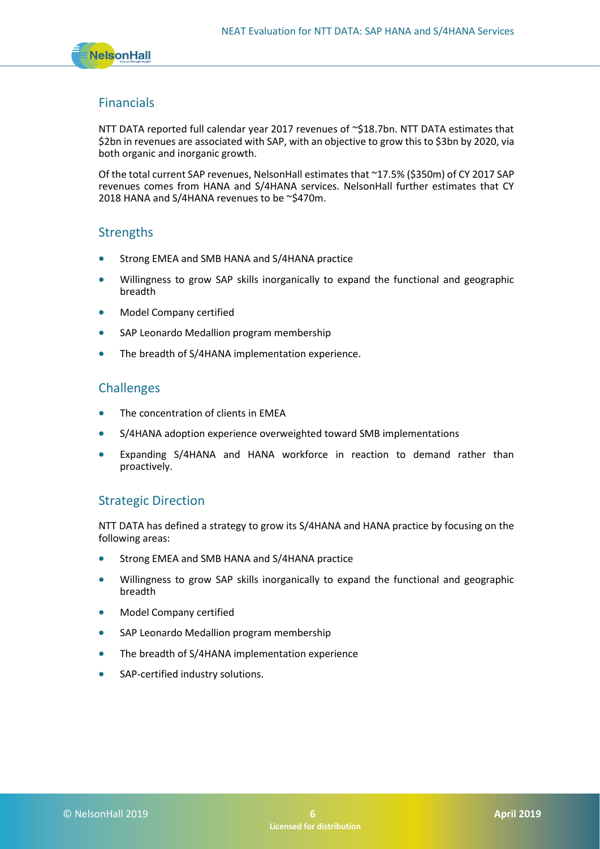

#### Financials

NTT DATA reported full calendar year 2017 revenues of ~\$18.7bn. NTT DATA estimates that \$2bn in revenues are associated with SAP, with an objective to grow this to \$3bn by 2020, via both organic and inorganic growth.

Of the total current SAP revenues, NelsonHall estimates that ~17.5% (\$350m) of CY 2017 SAP revenues comes from HANA and S/4HANA services. NelsonHall further estimates that CY 2018 HANA and S/4HANA revenues to be ~\$470m.

#### **Strengths**

- Strong EMEA and SMB HANA and S/4HANA practice
- Willingness to grow SAP skills inorganically to expand the functional and geographic breadth
- Model Company certified
- SAP Leonardo Medallion program membership
- The breadth of S/4HANA implementation experience.

#### Challenges

- The concentration of clients in EMEA
- S/4HANA adoption experience overweighted toward SMB implementations
- Expanding S/4HANA and HANA workforce in reaction to demand rather than proactively.

#### Strategic Direction

NTT DATA has defined a strategy to grow its S/4HANA and HANA practice by focusing on the following areas:

- Strong EMEA and SMB HANA and S/4HANA practice
- Willingness to grow SAP skills inorganically to expand the functional and geographic breadth
- Model Company certified
- SAP Leonardo Medallion program membership
- The breadth of S/4HANA implementation experience
- SAP-certified industry solutions.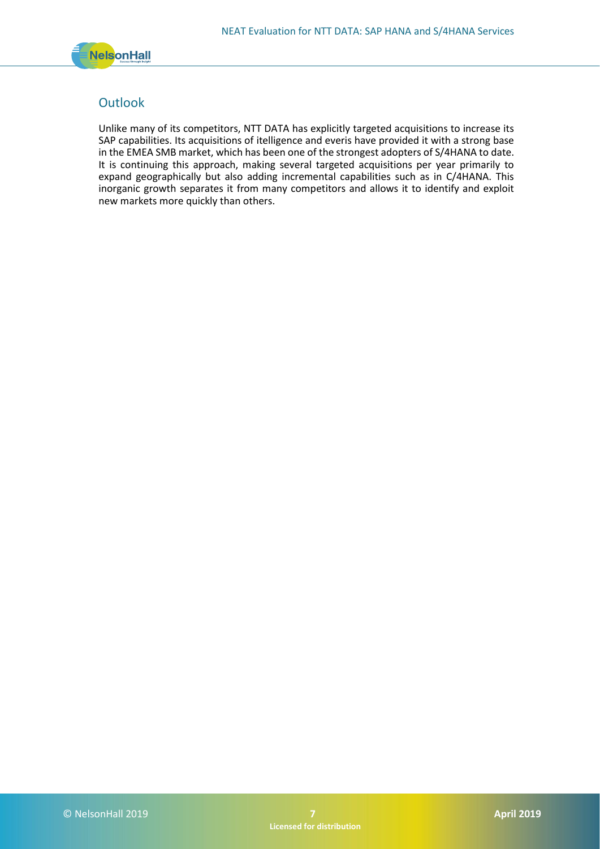

#### **Outlook**

Unlike many of its competitors, NTT DATA has explicitly targeted acquisitions to increase its SAP capabilities. Its acquisitions of itelligence and everis have provided it with a strong base in the EMEA SMB market, which has been one of the strongest adopters of S/4HANA to date. It is continuing this approach, making several targeted acquisitions per year primarily to expand geographically but also adding incremental capabilities such as in C/4HANA. This inorganic growth separates it from many competitors and allows it to identify and exploit new markets more quickly than others.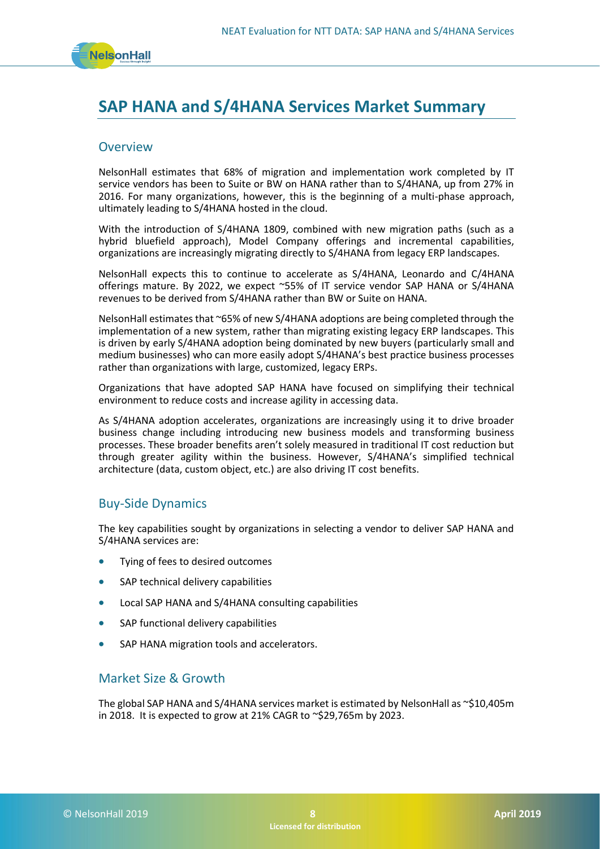

### **SAP HANA and S/4HANA Services Market Summary**

#### **Overview**

NelsonHall estimates that 68% of migration and implementation work completed by IT service vendors has been to Suite or BW on HANA rather than to S/4HANA, up from 27% in 2016. For many organizations, however, this is the beginning of a multi-phase approach, ultimately leading to S/4HANA hosted in the cloud.

With the introduction of S/4HANA 1809, combined with new migration paths (such as a hybrid bluefield approach), Model Company offerings and incremental capabilities, organizations are increasingly migrating directly to S/4HANA from legacy ERP landscapes.

NelsonHall expects this to continue to accelerate as S/4HANA, Leonardo and C/4HANA offerings mature. By 2022, we expect ~55% of IT service vendor SAP HANA or S/4HANA revenues to be derived from S/4HANA rather than BW or Suite on HANA.

NelsonHall estimates that ~65% of new S/4HANA adoptions are being completed through the implementation of a new system, rather than migrating existing legacy ERP landscapes. This is driven by early S/4HANA adoption being dominated by new buyers (particularly small and medium businesses) who can more easily adopt S/4HANA's best practice business processes rather than organizations with large, customized, legacy ERPs.

Organizations that have adopted SAP HANA have focused on simplifying their technical environment to reduce costs and increase agility in accessing data.

As S/4HANA adoption accelerates, organizations are increasingly using it to drive broader business change including introducing new business models and transforming business processes. These broader benefits aren't solely measured in traditional IT cost reduction but through greater agility within the business. However, S/4HANA's simplified technical architecture (data, custom object, etc.) are also driving IT cost benefits.

#### Buy-Side Dynamics

The key capabilities sought by organizations in selecting a vendor to deliver SAP HANA and S/4HANA services are:

- Tying of fees to desired outcomes
- SAP technical delivery capabilities
- Local SAP HANA and S/4HANA consulting capabilities
- SAP functional delivery capabilities
- SAP HANA migration tools and accelerators.

#### Market Size & Growth

The global SAP HANA and S/4HANA services market is estimated by NelsonHall as  $\sim$ \$10,405m in 2018. It is expected to grow at 21% CAGR to  $\sim$ \$29,765m by 2023.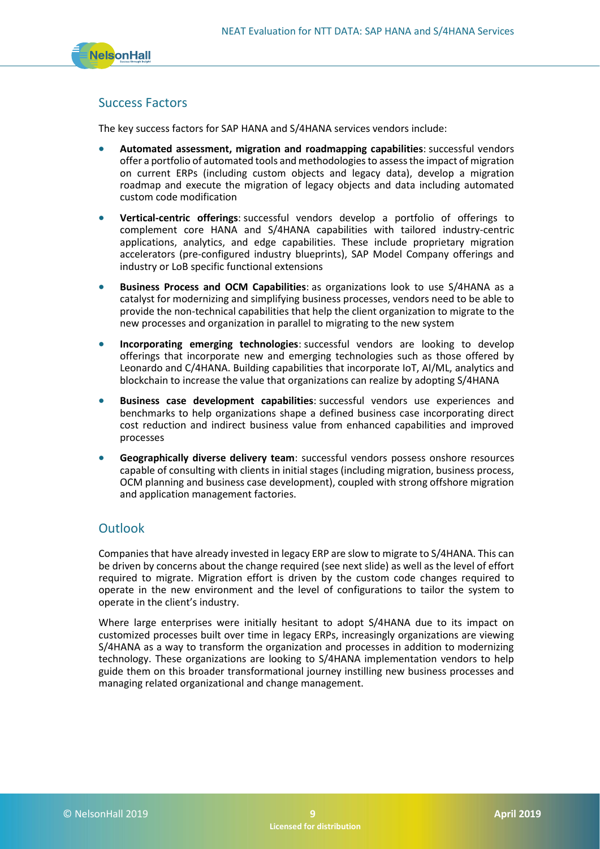

#### Success Factors

The key success factors for SAP HANA and S/4HANA services vendors include:

- **Automated assessment, migration and roadmapping capabilities**: successful vendors offer a portfolio of automated tools and methodologies to assess the impact of migration on current ERPs (including custom objects and legacy data), develop a migration roadmap and execute the migration of legacy objects and data including automated custom code modification
- **Vertical-centric offerings**: successful vendors develop a portfolio of offerings to complement core HANA and S/4HANA capabilities with tailored industry-centric applications, analytics, and edge capabilities. These include proprietary migration accelerators (pre-configured industry blueprints), SAP Model Company offerings and industry or LoB specific functional extensions
- **Business Process and OCM Capabilities**: as organizations look to use S/4HANA as a catalyst for modernizing and simplifying business processes, vendors need to be able to provide the non-technical capabilities that help the client organization to migrate to the new processes and organization in parallel to migrating to the new system
- **Incorporating emerging technologies**: successful vendors are looking to develop offerings that incorporate new and emerging technologies such as those offered by Leonardo and C/4HANA. Building capabilities that incorporate IoT, AI/ML, analytics and blockchain to increase the value that organizations can realize by adopting S/4HANA
- **Business case development capabilities**: successful vendors use experiences and benchmarks to help organizations shape a defined business case incorporating direct cost reduction and indirect business value from enhanced capabilities and improved processes
- **Geographically diverse delivery team**: successful vendors possess onshore resources capable of consulting with clients in initial stages (including migration, business process, OCM planning and business case development), coupled with strong offshore migration and application management factories.

#### **Outlook**

Companies that have already invested in legacy ERP are slow to migrate to S/4HANA. This can be driven by concerns about the change required (see next slide) as well as the level of effort required to migrate. Migration effort is driven by the custom code changes required to operate in the new environment and the level of configurations to tailor the system to operate in the client's industry.

Where large enterprises were initially hesitant to adopt S/4HANA due to its impact on customized processes built over time in legacy ERPs, increasingly organizations are viewing S/4HANA as a way to transform the organization and processes in addition to modernizing technology. These organizations are looking to S/4HANA implementation vendors to help guide them on this broader transformational journey instilling new business processes and managing related organizational and change management.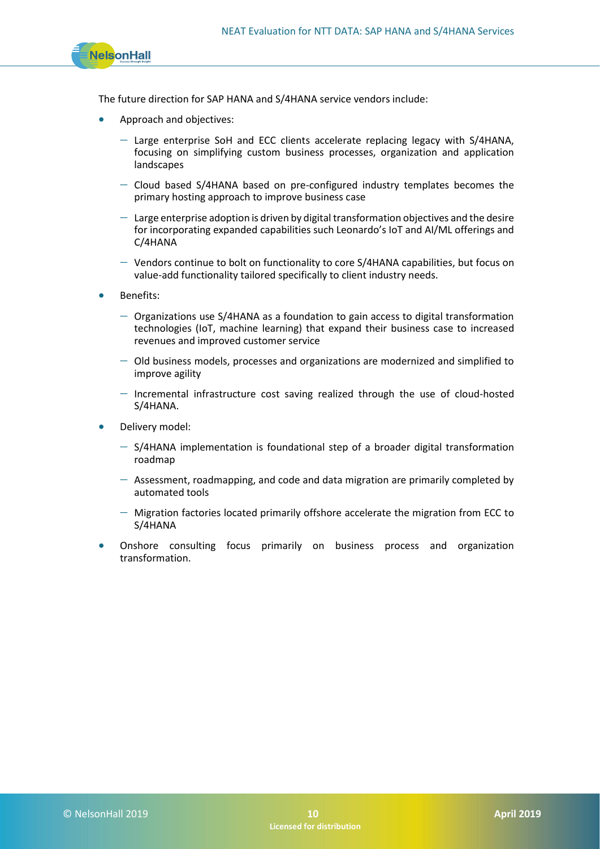

The future direction for SAP HANA and S/4HANA service vendors include:

- Approach and objectives:
	- − Large enterprise SoH and ECC clients accelerate replacing legacy with S/4HANA, focusing on simplifying custom business processes, organization and application landscapes
	- − Cloud based S/4HANA based on pre-configured industry templates becomes the primary hosting approach to improve business case
	- $-$  Large enterprise adoption is driven by digital transformation objectives and the desire for incorporating expanded capabilities such Leonardo's IoT and AI/ML offerings and C/4HANA
	- − Vendors continue to bolt on functionality to core S/4HANA capabilities, but focus on value-add functionality tailored specifically to client industry needs.
- Benefits:
	- − Organizations use S/4HANA as a foundation to gain access to digital transformation technologies (IoT, machine learning) that expand their business case to increased revenues and improved customer service
	- − Old business models, processes and organizations are modernized and simplified to improve agility
	- − Incremental infrastructure cost saving realized through the use of cloud-hosted S/4HANA.
- Delivery model:
	- − S/4HANA implementation is foundational step of a broader digital transformation roadmap
	- − Assessment, roadmapping, and code and data migration are primarily completed by automated tools
	- − Migration factories located primarily offshore accelerate the migration from ECC to S/4HANA
- Onshore consulting focus primarily on business process and organization transformation.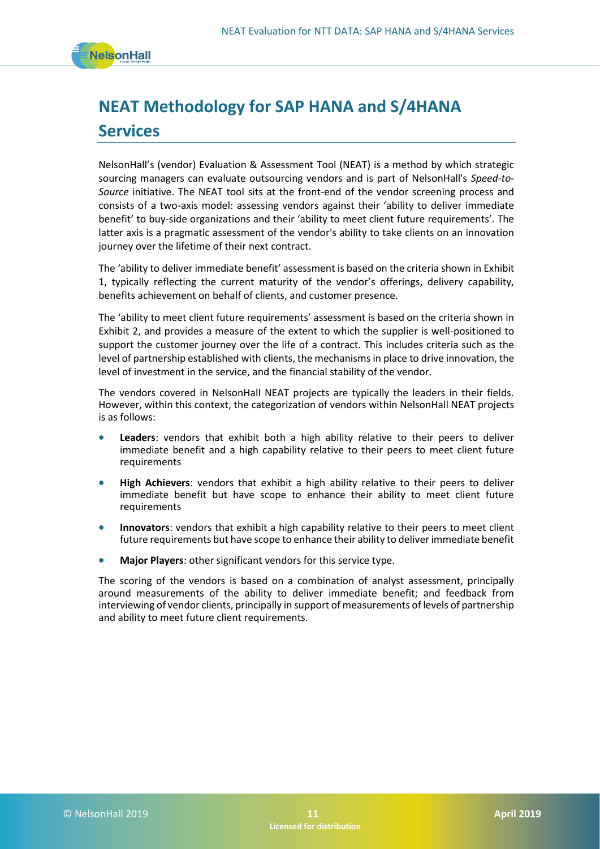

# **NEAT Methodology for SAP HANA and S/4HANA Services**

NelsonHall's (vendor) Evaluation & Assessment Tool (NEAT) is a method by which strategic sourcing managers can evaluate outsourcing vendors and is part of NelsonHall's *Speed-to-Source* initiative. The NEAT tool sits at the front-end of the vendor screening process and consists of a two-axis model: assessing vendors against their 'ability to deliver immediate benefit' to buy-side organizations and their 'ability to meet client future requirements'. The latter axis is a pragmatic assessment of the vendor's ability to take clients on an innovation journey over the lifetime of their next contract.

The 'ability to deliver immediate benefit' assessment is based on the criteria shown in Exhibit 1, typically reflecting the current maturity of the vendor's offerings, delivery capability, benefits achievement on behalf of clients, and customer presence.

The 'ability to meet client future requirements' assessment is based on the criteria shown in Exhibit 2, and provides a measure of the extent to which the supplier is well-positioned to support the customer journey over the life of a contract. This includes criteria such as the level of partnership established with clients, the mechanisms in place to drive innovation, the level of investment in the service, and the financial stability of the vendor.

The vendors covered in NelsonHall NEAT projects are typically the leaders in their fields. However, within this context, the categorization of vendors within NelsonHall NEAT projects is as follows:

- **Leaders**: vendors that exhibit both a high ability relative to their peers to deliver immediate benefit and a high capability relative to their peers to meet client future requirements
- **High Achievers**: vendors that exhibit a high ability relative to their peers to deliver immediate benefit but have scope to enhance their ability to meet client future requirements
- **Innovators**: vendors that exhibit a high capability relative to their peers to meet client future requirements but have scope to enhance their ability to deliver immediate benefit
- **Major Players**: other significant vendors for this service type.

The scoring of the vendors is based on a combination of analyst assessment, principally around measurements of the ability to deliver immediate benefit; and feedback from interviewing of vendor clients, principally in support of measurements of levels of partnership and ability to meet future client requirements.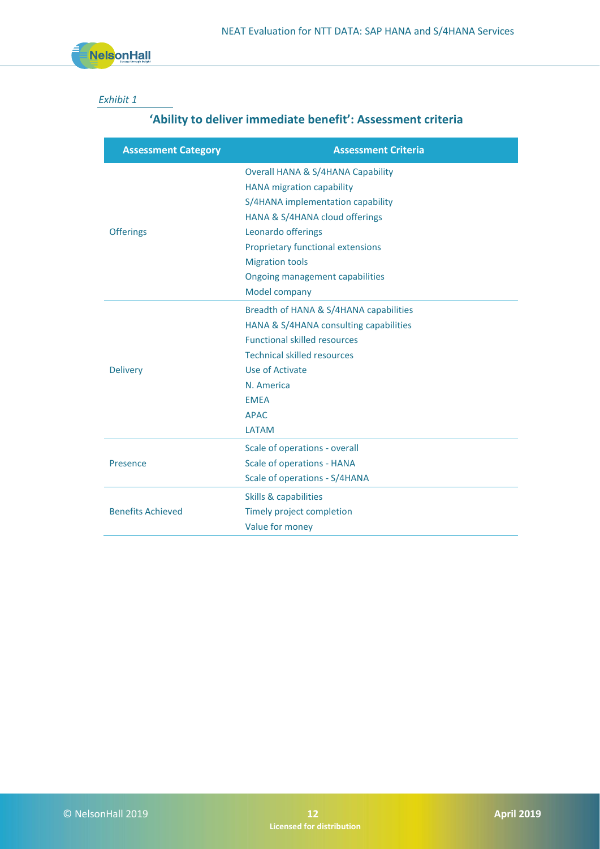

#### *Exhibit 1*

### **'Ability to deliver immediate benefit': Assessment criteria**

| <b>Assessment Criteria</b>                   |
|----------------------------------------------|
| <b>Overall HANA &amp; S/4HANA Capability</b> |
| <b>HANA</b> migration capability             |
| S/4HANA implementation capability            |
| HANA & S/4HANA cloud offerings               |
| Leonardo offerings                           |
| <b>Proprietary functional extensions</b>     |
| <b>Migration tools</b>                       |
| <b>Ongoing management capabilities</b>       |
| Model company                                |
| Breadth of HANA & S/4HANA capabilities       |
| HANA & S/4HANA consulting capabilities       |
| <b>Functional skilled resources</b>          |
| <b>Technical skilled resources</b>           |
| Use of Activate                              |
| N. America                                   |
| <b>EMEA</b>                                  |
| <b>APAC</b>                                  |
| <b>LATAM</b>                                 |
| Scale of operations - overall                |
| <b>Scale of operations - HANA</b>            |
| Scale of operations - S/4HANA                |
| <b>Skills &amp; capabilities</b>             |
| Timely project completion                    |
| Value for money                              |
|                                              |